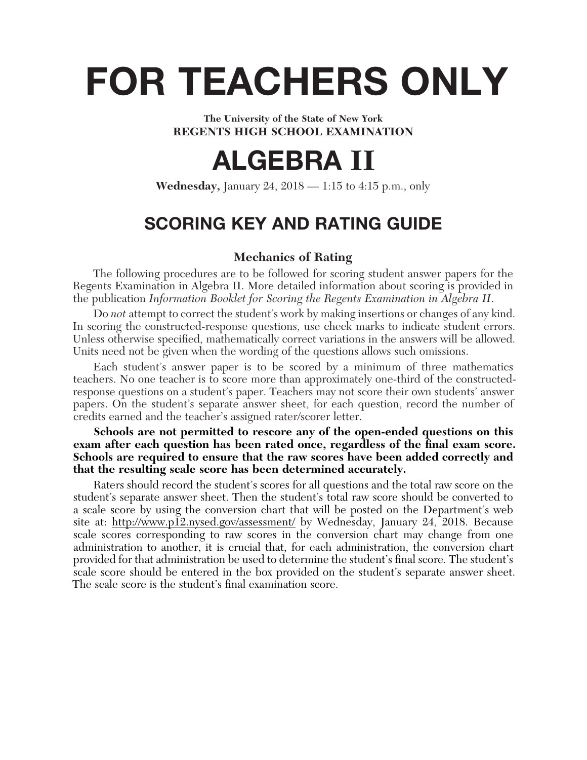# **FOR TEACHERS ONLY**

**The University of the State of New York REGENTS HIGH SCHOOL EXAMINATION**

# **ALGEBRA II**

**Wednesday,** January 24, 2018 — 1:15 to 4:15 p.m., only

# **SCORING KEY AND RATING GUIDE**

# **Mechanics of Rating**

The following procedures are to be followed for scoring student answer papers for the Regents Examination in Algebra II. More detailed information about scoring is provided in the publication *Information Booklet for Scoring the Regents Examination in Algebra II*.

Do *not* attempt to correct the student's work by making insertions or changes of any kind. In scoring the constructed-response questions, use check marks to indicate student errors. Unless otherwise specified, mathematically correct variations in the answers will be allowed. Units need not be given when the wording of the questions allows such omissions.

Each student's answer paper is to be scored by a minimum of three mathematics teachers. No one teacher is to score more than approximately one-third of the constructedresponse questions on a student's paper. Teachers may not score their own students' answer papers. On the student's separate answer sheet, for each question, record the number of credits earned and the teacher's assigned rater/scorer letter.

#### **Schools are not permitted to rescore any of the open-ended questions on this**  exam after each question has been rated once, regardless of the final exam score. **Schools are required to ensure that the raw scores have been added correctly and that the resulting scale score has been determined accurately.**

Raters should record the student's scores for all questions and the total raw score on the student's separate answer sheet. Then the student's total raw score should be converted to a scale score by using the conversion chart that will be posted on the Department's web site at: http://www.p12.nysed.gov/assessment/ by Wednesday, January 24, 2018. Because scale scores corresponding to raw scores in the conversion chart may change from one administration to another, it is crucial that, for each administration, the conversion chart provided for that administration be used to determine the student's final score. The student's scale score should be entered in the box provided on the student's separate answer sheet. The scale score is the student's final examination score.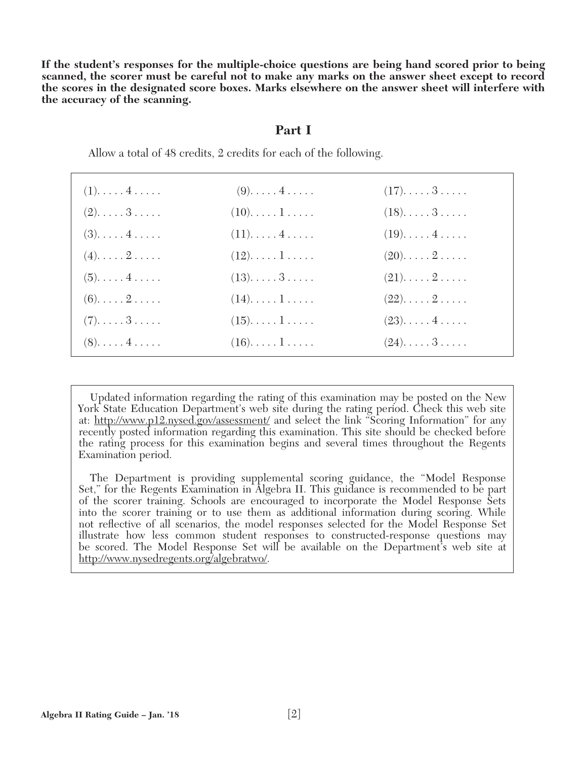**If the student's responses for the multiple-choice questions are being hand scored prior to being scanned, the scorer must be careful not to make any marks on the answer sheet except to record the scores in the designated score boxes. Marks elsewhere on the answer sheet will interfere with the accuracy of the scanning.**

#### **Part I**

Allow a total of 48 credits, 2 credits for each of the following.

| $(1). \ldots . 4 \ldots .$ | $(9)$ $4$  | $(17)$ . $\ldots$ . $3$ . $\ldots$ . |  |
|----------------------------|------------|--------------------------------------|--|
| $(2). \ldots .3 \ldots$ .  | $(10)$ $1$ | $(18)\ldots 3 \ldots$                |  |
| $(3)$ $4$                  | $(11)$ $4$ | $(19)$ $4$                           |  |
| $(4)$ $2$                  | $(12)$ $1$ | $(20)$ $2$                           |  |
| $(5)$ $4$                  | $(13)$ 3   | $(21)$ $2$                           |  |
| $(6)$ $2$                  | $(14)$ $1$ | $(22)$ $2$                           |  |
| $(7)$ . 3                  | $(15)$ $1$ | $(23)$ $4$                           |  |
| $(8)$ $4$                  | $(16)$ $1$ | $(24)$ $3$                           |  |
|                            |            |                                      |  |

 Updated information regarding the rating of this examination may be posted on the New York State Education Department's web site during the rating period. Check this web site at: http://www.p12.nysed.gov/assessment/ and select the link "Scoring Information" for any recently posted information regarding this examination. This site should be checked before the rating process for this examination begins and several times throughout the Regents Examination period.

 The Department is providing supplemental scoring guidance, the "Model Response Set," for the Regents Examination in Algebra II. This guidance is recommended to be part of the scorer training. Schools are encouraged to incorporate the Model Response Sets into the scorer training or to use them as additional information during scoring. While not refl ective of all scenarios, the model responses selected for the Model Response Set illustrate how less common student responses to constructed-response questions may be scored. The Model Response Set will be available on the Department's web site at http://www.nysedregents.org/algebratwo/.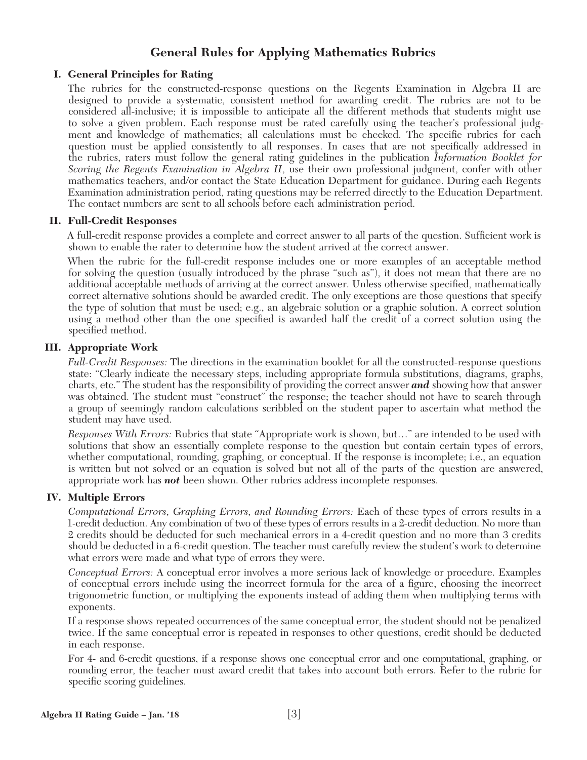# **General Rules for Applying Mathematics Rubrics**

# **I. General Principles for Rating**

The rubrics for the constructed-response questions on the Regents Examination in Algebra II are designed to provide a systematic, consistent method for awarding credit. The rubrics are not to be considered all-inclusive; it is impossible to anticipate all the different methods that students might use to solve a given problem. Each response must be rated carefully using the teacher's professional judgment and knowledge of mathematics; all calculations must be checked. The specific rubrics for each question must be applied consistently to all responses. In cases that are not specifically addressed in the rubrics, raters must follow the general rating guidelines in the publication *Information Booklet for Scoring the Regents Examination in Algebra II*, use their own professional judgment, confer with other mathematics teachers, and/or contact the State Education Department for guidance. During each Regents Examination administration period, rating questions may be referred directly to the Education Department. The contact numbers are sent to all schools before each administration period.

# **II. Full-Credit Responses**

A full-credit response provides a complete and correct answer to all parts of the question. Sufficient work is shown to enable the rater to determine how the student arrived at the correct answer.

When the rubric for the full-credit response includes one or more examples of an acceptable method for solving the question (usually introduced by the phrase "such as"), it does not mean that there are no additional acceptable methods of arriving at the correct answer. Unless otherwise specified, mathematically correct alternative solutions should be awarded credit. The only exceptions are those questions that specify the type of solution that must be used; e.g., an algebraic solution or a graphic solution. A correct solution using a method other than the one specified is awarded half the credit of a correct solution using the specified method.

# **III. Appropriate Work**

*Full-Credit Responses:* The directions in the examination booklet for all the constructed-response questions state: "Clearly indicate the necessary steps, including appropriate formula substitutions, diagrams, graphs, charts, etc." The student has the responsibility of providing the correct answer *and* showing how that answer was obtained. The student must "construct" the response; the teacher should not have to search through a group of seemingly random calculations scribbled on the student paper to ascertain what method the student may have used.

*Responses With Errors:* Rubrics that state "Appropriate work is shown, but…" are intended to be used with solutions that show an essentially complete response to the question but contain certain types of errors, whether computational, rounding, graphing, or conceptual. If the response is incomplete; i.e., an equation is written but not solved or an equation is solved but not all of the parts of the question are answered, appropriate work has *not* been shown. Other rubrics address incomplete responses.

# **IV. Multiple Errors**

*Computational Errors, Graphing Errors, and Rounding Errors:* Each of these types of errors results in a 1-credit deduction. Any combination of two of these types of errors results in a 2-credit deduction. No more than 2 credits should be deducted for such mechanical errors in a 4-credit question and no more than 3 credits should be deducted in a 6-credit question. The teacher must carefully review the student's work to determine what errors were made and what type of errors they were.

*Conceptual Errors:* A conceptual error involves a more serious lack of knowledge or procedure. Examples of conceptual errors include using the incorrect formula for the area of a figure, choosing the incorrect trigonometric function, or multiplying the exponents instead of adding them when multiplying terms with exponents.

If a response shows repeated occurrences of the same conceptual error, the student should not be penalized twice. If the same conceptual error is repeated in responses to other questions, credit should be deducted in each response.

For 4- and 6-credit questions, if a response shows one conceptual error and one computational, graphing, or rounding error, the teacher must award credit that takes into account both errors. Refer to the rubric for specific scoring guidelines.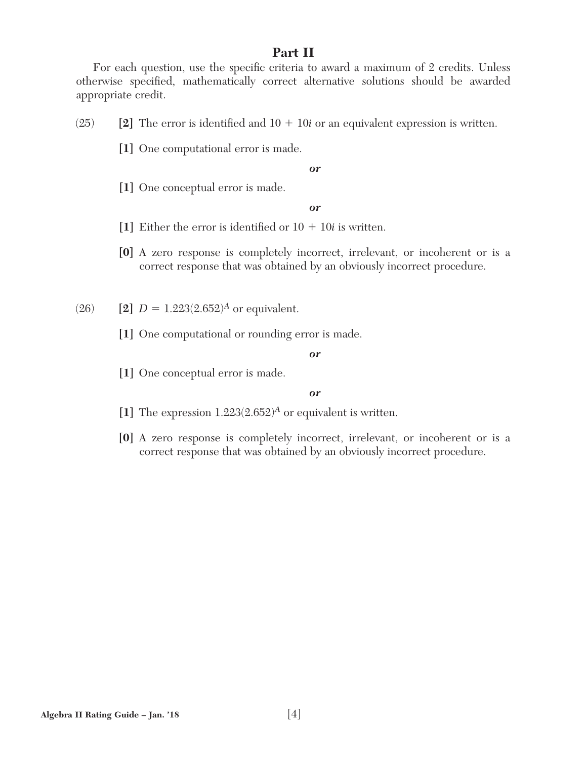# **Part II**

For each question, use the specific criteria to award a maximum of 2 credits. Unless otherwise specified, mathematically correct alternative solutions should be awarded appropriate credit.

 $(25)$  [2] The error is identified and  $10 + 10i$  or an equivalent expression is written.

**[1]** One computational error is made.

#### *or*

**[1]** One conceptual error is made.

#### *or*

- [1] Either the error is identified or  $10 + 10i$  is written.
- **[0]** A zero response is completely incorrect, irrelevant, or incoherent or is a correct response that was obtained by an obviously incorrect procedure.
- $(26)$  **[2]**  $D = 1.223(2.652)^{A}$  or equivalent.
	- **[1]** One computational or rounding error is made.

#### *or*

**[1]** One conceptual error is made.

- **[1]** The expression 1.223(2.652)*A* or equivalent is written.
- **[0]** A zero response is completely incorrect, irrelevant, or incoherent or is a correct response that was obtained by an obviously incorrect procedure.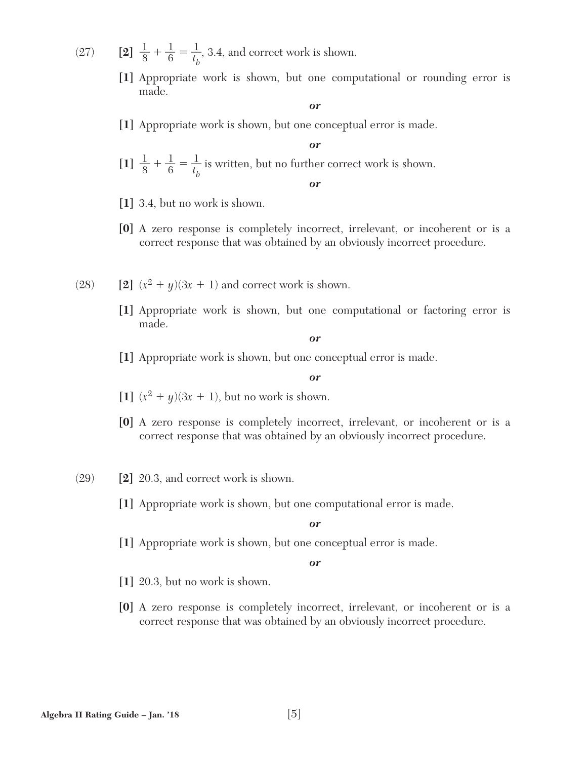- (27) **[2]**  $\frac{1}{8} + \frac{1}{6} = \frac{1}{t_h}$ *t b* , 3.4, and correct work is shown.
	- **[1]** Appropriate work is shown, but one computational or rounding error is made.

**[1]** Appropriate work is shown, but one conceptual error is made.

*or*  $\left[1\right] \frac{1}{8} + \frac{1}{6} = \frac{1}{t_h}$ *t b* is written, but no further correct work is shown. *or*

- **[1]** 3.4, but no work is shown.
- **[0]** A zero response is completely incorrect, irrelevant, or incoherent or is a correct response that was obtained by an obviously incorrect procedure.
- (28) **[2]**  $(x^2 + y)(3x + 1)$  and correct work is shown.
	- **[1]** Appropriate work is shown, but one computational or factoring error is made.

*or*

**[1]** Appropriate work is shown, but one conceptual error is made.

*or*

- [1]  $(x^2 + y)(3x + 1)$ , but no work is shown.
- **[0]** A zero response is completely incorrect, irrelevant, or incoherent or is a correct response that was obtained by an obviously incorrect procedure.
- (29) **[2]** 20.3, and correct work is shown.
	- **[1]** Appropriate work is shown, but one computational error is made.

*or*

**[1]** Appropriate work is shown, but one conceptual error is made.

- **[1]** 20.3, but no work is shown.
- **[0]** A zero response is completely incorrect, irrelevant, or incoherent or is a correct response that was obtained by an obviously incorrect procedure.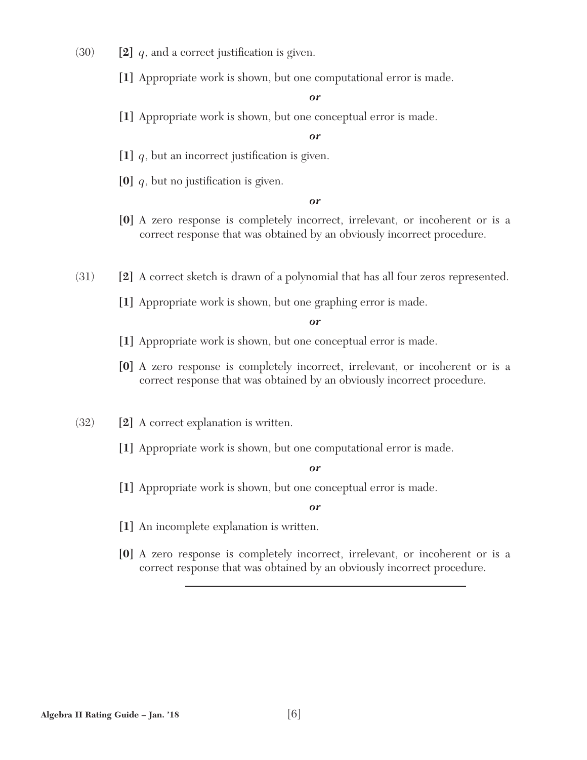- $(30)$  **[2]** *q*, and a correct justification is given.
	- **[1]** Appropriate work is shown, but one computational error is made.

**[1]** Appropriate work is shown, but one conceptual error is made.

#### *or*

- [1]  $q$ , but an incorrect justification is given.
- $[0]$  *q*, but no justification is given.

#### *or*

- **[0]** A zero response is completely incorrect, irrelevant, or incoherent or is a correct response that was obtained by an obviously incorrect procedure.
- (31) **[2]** A correct sketch is drawn of a polynomial that has all four zeros represented.
	- **[1]** Appropriate work is shown, but one graphing error is made.

#### *or*

- **[1]** Appropriate work is shown, but one conceptual error is made.
- **[0]** A zero response is completely incorrect, irrelevant, or incoherent or is a correct response that was obtained by an obviously incorrect procedure.
- (32) **[2]** A correct explanation is written.
	- **[1]** Appropriate work is shown, but one computational error is made.

#### *or*

**[1]** Appropriate work is shown, but one conceptual error is made.

- **[1]** An incomplete explanation is written.
- **[0]** A zero response is completely incorrect, irrelevant, or incoherent or is a correct response that was obtained by an obviously incorrect procedure.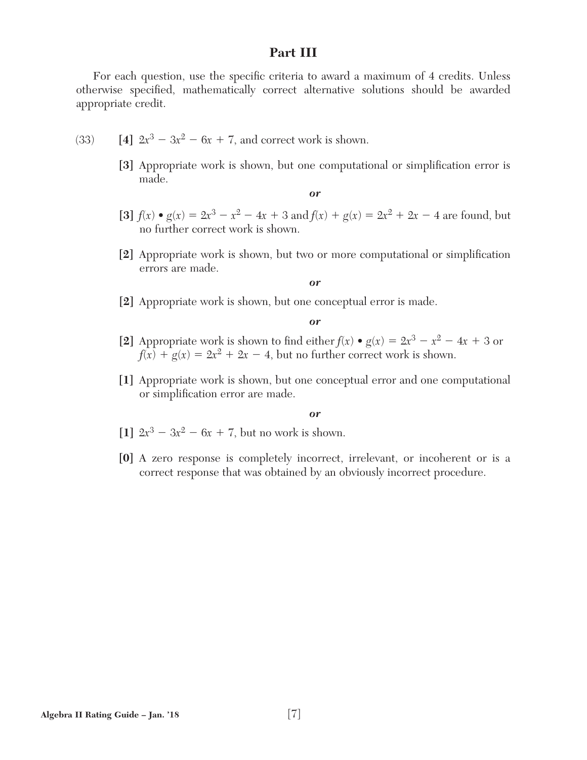# **Part III**

For each question, use the specific criteria to award a maximum of 4 credits. Unless otherwise specified, mathematically correct alternative solutions should be awarded appropriate credit.

- (33) **[4]**  $2x^3 3x^2 6x + 7$ , and correct work is shown.
	- [3] Appropriate work is shown, but one computational or simplification error is made.

*or*

- **[3]**  $f(x) \cdot g(x) = 2x^3 x^2 4x + 3$  and  $f(x) + g(x) = 2x^2 + 2x 4$  are found, but no further correct work is shown.
- [2] Appropriate work is shown, but two or more computational or simplification errors are made.

*or*

**[2]** Appropriate work is shown, but one conceptual error is made.

*or*

- **[2]** Appropriate work is shown to find either  $f(x) \bullet g(x) = 2x^3 x^2 4x + 3$  or  $f(x) + g(x) = 2x^2 + 2x - 4$ , but no further correct work is shown.
- **[1]** Appropriate work is shown, but one conceptual error and one computational or simplification error are made.

- $[1]$   $2x^3 3x^2 6x + 7$ , but no work is shown.
- **[0]** A zero response is completely incorrect, irrelevant, or incoherent or is a correct response that was obtained by an obviously incorrect procedure.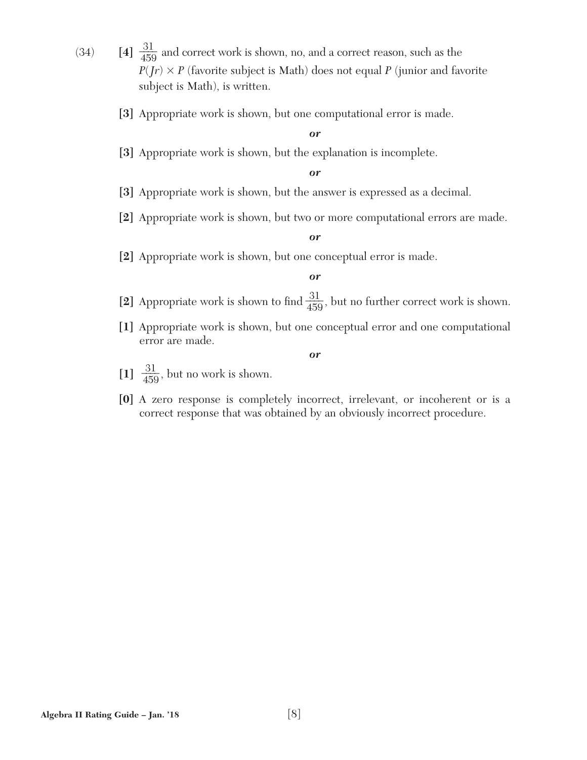- $(34)$  **[4]**  $\frac{31}{459}$  and correct work is shown, no, and a correct reason, such as the  $P(Jr) \times P$  (favorite subject is Math) does not equal *P* (junior and favorite subject is Math), is written.
	- **[3]** Appropriate work is shown, but one computational error is made.

**[3]** Appropriate work is shown, but the explanation is incomplete.

#### *or*

- **[3]** Appropriate work is shown, but the answer is expressed as a decimal.
- **[2]** Appropriate work is shown, but two or more computational errors are made.

#### *or*

**[2]** Appropriate work is shown, but one conceptual error is made.

#### *or*

- [2] Appropriate work is shown to find  $\frac{31}{459}$ , but no further correct work is shown.
- **[1]** Appropriate work is shown, but one conceptual error and one computational error are made.

- [1]  $\frac{31}{459}$ , but no work is shown.
- **[0]** A zero response is completely incorrect, irrelevant, or incoherent or is a correct response that was obtained by an obviously incorrect procedure.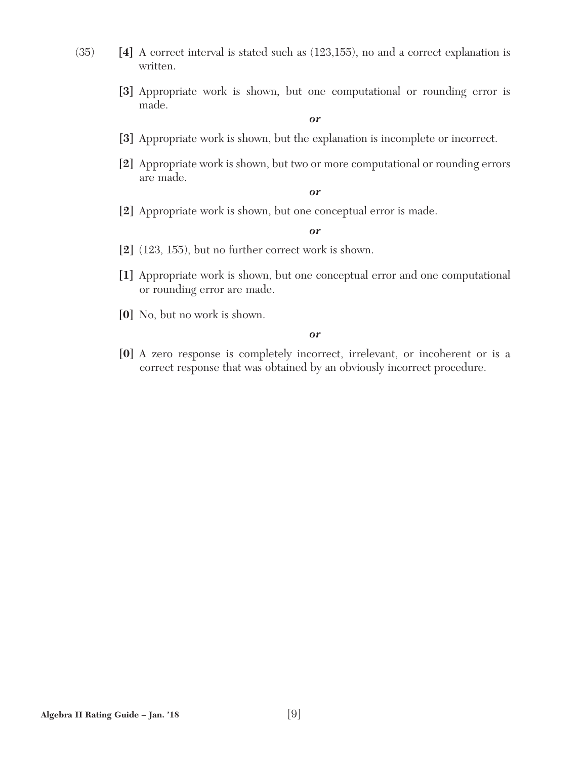- (35) **[4]** A correct interval is stated such as (123,155), no and a correct explanation is written.
	- **[3]** Appropriate work is shown, but one computational or rounding error is made.

- **[3]** Appropriate work is shown, but the explanation is incomplete or incorrect.
- **[2]** Appropriate work is shown, but two or more computational or rounding errors are made.

#### *or*

**[2]** Appropriate work is shown, but one conceptual error is made.

#### *or*

- **[2]** (123, 155), but no further correct work is shown.
- **[1]** Appropriate work is shown, but one conceptual error and one computational or rounding error are made.
- **[0]** No, but no work is shown.

#### *or*

**[0]** A zero response is completely incorrect, irrelevant, or incoherent or is a correct response that was obtained by an obviously incorrect procedure.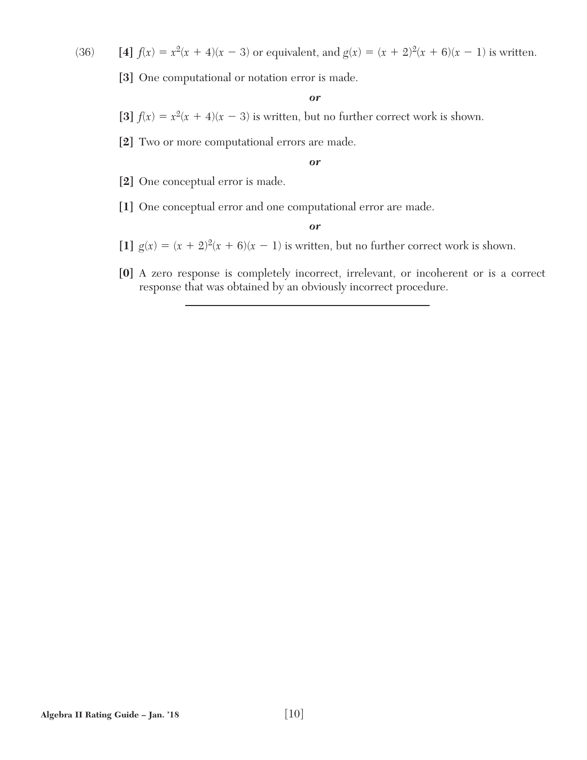(36) **[4]**  $f(x) = x^2(x + 4)(x - 3)$  or equivalent, and  $g(x) = (x + 2)^2(x + 6)(x - 1)$  is written.

**[3]** One computational or notation error is made.

*or*

- [3]  $f(x) = x^2(x + 4)(x 3)$  is written, but no further correct work is shown.
- **[2]** Two or more computational errors are made.

*or*

- **[2]** One conceptual error is made.
- **[1]** One conceptual error and one computational error are made.

- [1]  $g(x) = (x + 2)^2(x + 6)(x 1)$  is written, but no further correct work is shown.
- **[0]** A zero response is completely incorrect, irrelevant, or incoherent or is a correct response that was obtained by an obviously incorrect procedure.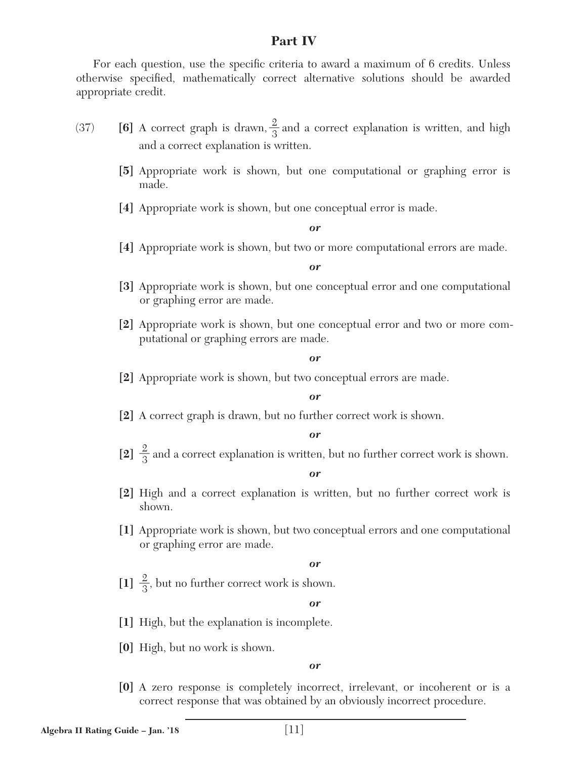# **Part IV**

For each question, use the specific criteria to award a maximum of 6 credits. Unless otherwise specified, mathematically correct alternative solutions should be awarded appropriate credit.

- (37) **[6]** A correct graph is drawn,  $\frac{2}{3}$  and a correct explanation is written, and high and a correct explanation is written.
	- **[5]** Appropriate work is shown, but one computational or graphing error is made.
	- **[4]** Appropriate work is shown, but one conceptual error is made.

#### *or*

**[4]** Appropriate work is shown, but two or more computational errors are made.

#### *or*

- **[3]** Appropriate work is shown, but one conceptual error and one computational or graphing error are made.
- **[2]** Appropriate work is shown, but one conceptual error and two or more computational or graphing errors are made.

#### *or*

**[2]** Appropriate work is shown, but two conceptual errors are made.

#### *or*

**[2]** A correct graph is drawn, but no further correct work is shown.

#### *or*

[2]  $\frac{2}{3}$  and a correct explanation is written, but no further correct work is shown.

#### *or*

- **[2]** High and a correct explanation is written, but no further correct work is shown.
- **[1]** Appropriate work is shown, but two conceptual errors and one computational or graphing error are made.

#### *or*

[1]  $\frac{2}{3}$ , but no further correct work is shown.

#### *or*

- **[1]** High, but the explanation is incomplete.
- **[0]** High, but no work is shown.

#### *or*

**[0]** A zero response is completely incorrect, irrelevant, or incoherent or is a correct response that was obtained by an obviously incorrect procedure.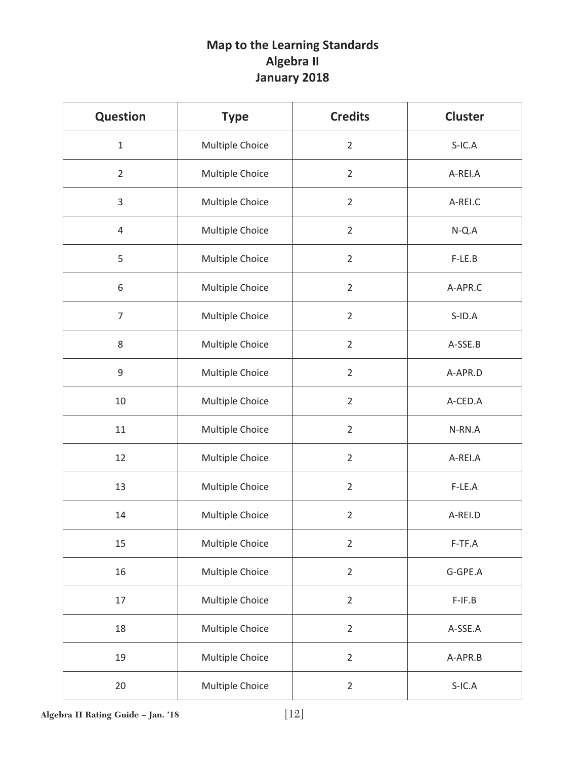# **Map to the Learning Standards Algebra II January 2018**

| <b>Question</b> | <b>Type</b>     | <b>Credits</b> | <b>Cluster</b> |
|-----------------|-----------------|----------------|----------------|
| $\mathbf{1}$    | Multiple Choice | $\overline{2}$ | $S-IC.A$       |
| $\overline{2}$  | Multiple Choice | $\overline{2}$ | A-REI.A        |
| 3               | Multiple Choice | $\overline{2}$ | A-REI.C        |
| 4               | Multiple Choice | $\overline{2}$ | $N-Q.A$        |
| 5               | Multiple Choice | $\overline{2}$ | $F-LE.B$       |
| 6               | Multiple Choice | $\overline{2}$ | A-APR.C        |
| $\overline{7}$  | Multiple Choice | $\overline{2}$ | $S$ -ID.A      |
| 8               | Multiple Choice | $\overline{2}$ | A-SSE.B        |
| 9               | Multiple Choice | $\overline{2}$ | A-APR.D        |
| 10              | Multiple Choice | $\overline{2}$ | A-CED.A        |
| 11              | Multiple Choice | $\overline{2}$ | N-RN.A         |
| 12              | Multiple Choice | $\overline{2}$ | A-REI.A        |
| 13              | Multiple Choice | $\overline{2}$ | F-LE.A         |
| 14              | Multiple Choice | $\overline{2}$ | A-REI.D        |
| 15              | Multiple Choice | $\overline{2}$ | $F-TF.A$       |
| 16              | Multiple Choice | $\overline{2}$ | G-GPE.A        |
| 17              | Multiple Choice | $\overline{2}$ | $F-IF.B$       |
| 18              | Multiple Choice | $\overline{2}$ | A-SSE.A        |
| 19              | Multiple Choice | $\overline{2}$ | A-APR.B        |
| 20              | Multiple Choice | $\overline{2}$ | $S-IC.A$       |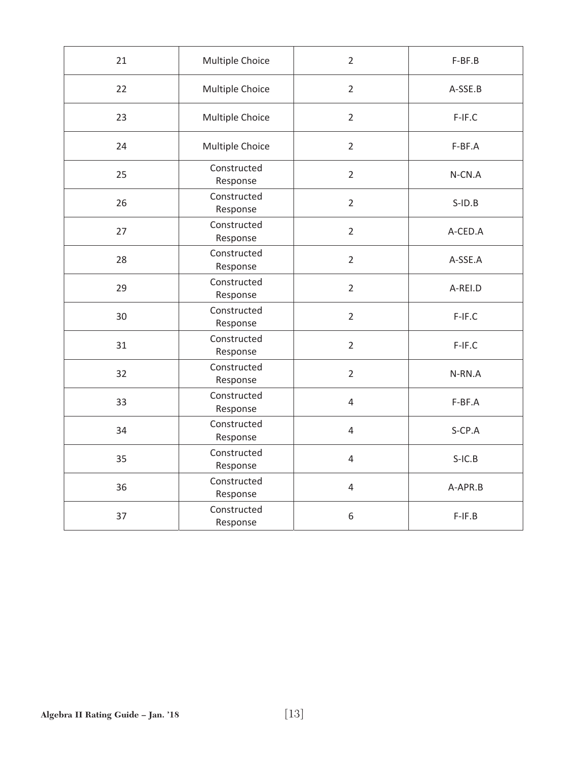| 21 | Multiple Choice         | $\overline{2}$ | F-BF.B    |
|----|-------------------------|----------------|-----------|
| 22 | Multiple Choice         | $\overline{2}$ | A-SSE.B   |
| 23 | Multiple Choice         | $\overline{2}$ | F-IF.C    |
| 24 | Multiple Choice         | $\overline{2}$ | F-BF.A    |
| 25 | Constructed<br>Response | $\overline{2}$ | N-CN.A    |
| 26 | Constructed<br>Response | $\overline{2}$ | $S$ -ID.B |
| 27 | Constructed<br>Response | $\overline{2}$ | A-CED.A   |
| 28 | Constructed<br>Response | $\overline{2}$ | A-SSE.A   |
| 29 | Constructed<br>Response | $\overline{2}$ | A-REI.D   |
| 30 | Constructed<br>Response | $\overline{2}$ | $F-IF.C$  |
| 31 | Constructed<br>Response | $\overline{2}$ | $F-IF.C$  |
| 32 | Constructed<br>Response | $\overline{2}$ | N-RN.A    |
| 33 | Constructed<br>Response | $\overline{4}$ | F-BF.A    |
| 34 | Constructed<br>Response | $\overline{4}$ | S-CP.A    |
| 35 | Constructed<br>Response | $\overline{4}$ | $S-IC.B$  |
| 36 | Constructed<br>Response | $\overline{4}$ | A-APR.B   |
| 37 | Constructed<br>Response | 6              | $F-IF.B$  |